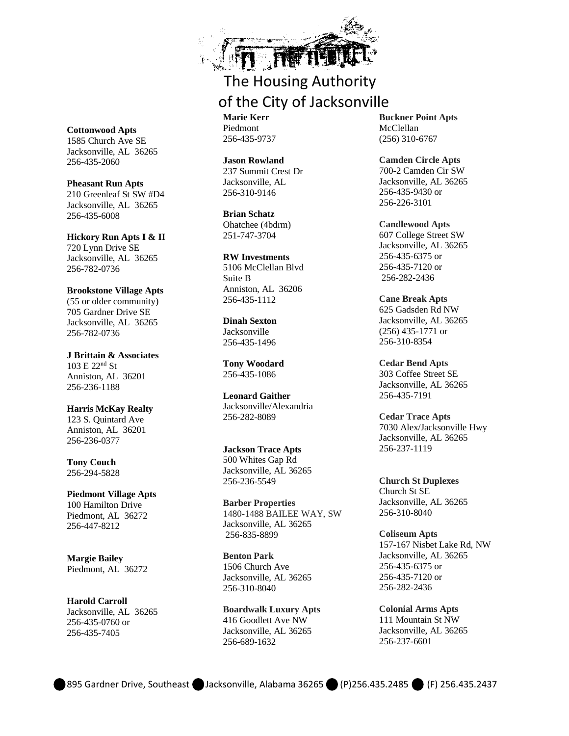

## The Housing Authority of the City of Jacksonville

**Marie Kerr** Piedmont 256-435-9737

**Jason Rowland** 237 Summit Crest Dr Jacksonville, AL 256-310-9146

**Brian Schatz** Ohatchee (4bdrm) 251-747-3704

**RW Investments** 5106 McClellan Blvd Suite B Anniston, AL 36206 256-435-1112

**Dinah Sexton** Jacksonville 256-435-1496

**Tony Woodard** 256-435-1086

**Leonard Gaither** Jacksonville/Alexandria 256-282-8089

**Jackson Trace Apts** 500 Whites Gap Rd Jacksonville, AL 36265 256-236-5549

**Barber Properties** 1480-1488 BAILEE WAY, SW Jacksonville, AL 36265 256-835-8899

**Benton Park** 1506 Church Ave Jacksonville, AL 36265 256-310-8040

**Boardwalk Luxury Apts** 416 Goodlett Ave NW Jacksonville, AL 36265 256-689-1632

**Buckner Point Apts**  McClellan (256) 310-6767

**Camden Circle Apts** 700-2 Camden Cir SW Jacksonville, AL 36265 256-435-9430 or 256-226-3101

**Candlewood Apts** 607 College Street SW Jacksonville, AL 36265 256-435-6375 or 256-435-7120 or 256-282-2436

**Cane Break Apts** 625 Gadsden Rd NW Jacksonville, AL 36265 (256) 435-1771 or 256-310-8354

**Cedar Bend Apts** 303 Coffee Street SE Jacksonville, AL 36265 256-435-7191

**Cedar Trace Apts** 7030 Alex/Jacksonville Hwy Jacksonville, AL 36265 256-237-1119

**Church St Duplexes** Church St SE Jacksonville, AL 36265 256-310-8040

**Coliseum Apts** 157-167 Nisbet Lake Rd, NW Jacksonville, AL 36265 256-435-6375 or 256-435-7120 or 256-282-2436

**Colonial Arms Apts** 111 Mountain St NW Jacksonville, AL 36265 256-237-6601

#### **Cottonwood Apts** 1585 Church Ave SE

Jacksonville, AL 36265 256-435-2060

**Pheasant Run Apts** 210 Greenleaf St SW #D4

Jacksonville, AL 36265 256-435-6008

**Hickory Run Apts I & II** 720 Lynn Drive SE

Jacksonville, AL 36265 256-782-0736

#### **Brookstone Village Apts**

(55 or older community) 705 Gardner Drive SE Jacksonville, AL 36265 256-782-0736

**J Brittain & Associates**  $103 E 22<sup>nd</sup> St$ Anniston, AL 36201 256-236-1188

**Harris McKay Realty**

123 S. Quintard Ave Anniston, AL 36201 256-236-0377

**Tony Couch** 256-294-5828

**Piedmont Village Apts** 100 Hamilton Drive Piedmont, AL 36272 256-447-8212

**Margie Bailey** Piedmont, AL 36272

**Harold Carroll** Jacksonville, AL 36265 256-435-0760 or 256-435-7405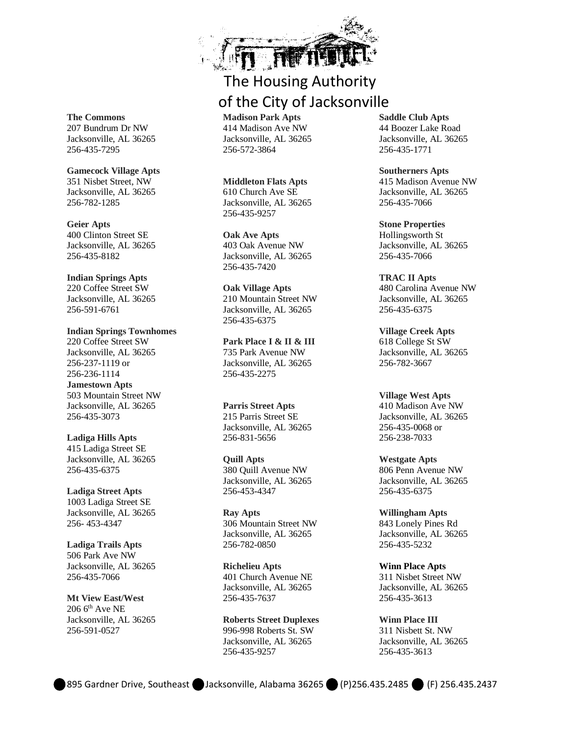

### The Housing Authority of the City of Jacksonville

**Madison Park Apts** 414 Madison Ave NW Jacksonville, AL 36265 256-572-3864

**Middleton Flats Apts** 610 Church Ave SE Jacksonville, AL 36265 256-435-9257

**Oak Ave Apts** 403 Oak Avenue NW Jacksonville, AL 36265 256-435-7420

**Oak Village Apts** 210 Mountain Street NW Jacksonville, AL 36265 256-435-6375

**Park Place I & II & III** 735 Park Avenue NW Jacksonville, AL 36265 256-435-2275

**Parris Street Apts** 215 Parris Street SE Jacksonville, AL 36265 256-831-5656

**Quill Apts** 380 Quill Avenue NW Jacksonville, AL 36265 256-453-4347

**Ray Apts** 306 Mountain Street NW Jacksonville, AL 36265 256-782-0850

**Richelieu Apts** 401 Church Avenue NE Jacksonville, AL 36265 256-435-7637

**Roberts Street Duplexes** 996-998 Roberts St. SW Jacksonville, AL 36265 256-435-9257

**Saddle Club Apts** 44 Boozer Lake Road Jacksonville, AL 36265 256-435-1771

**Southerners Apts** 415 Madison Avenue NW Jacksonville, AL 36265 256-435-7066

**Stone Properties** Hollingsworth St Jacksonville, AL 36265 256-435-7066

**TRAC II Apts** 480 Carolina Avenue NW Jacksonville, AL 36265 256-435-6375

**Village Creek Apts** 618 College St SW Jacksonville, AL 36265 256-782-3667

**Village West Apts** 410 Madison Ave NW Jacksonville, AL 36265 256-435-0068 or 256-238-7033

**Westgate Apts** 806 Penn Avenue NW Jacksonville, AL 36265 256-435-6375

**Willingham Apts** 843 Lonely Pines Rd Jacksonville, AL 36265 256-435-5232

**Winn Place Apts** 311 Nisbet Street NW Jacksonville, AL 36265 256-435-3613

**Winn Place III** 311 Nisbett St. NW Jacksonville, AL 36265 256-435-3613

**The Commons** 207 Bundrum Dr NW Jacksonville, AL 36265 256-435-7295

**Gamecock Village Apts** 351 Nisbet Street, NW Jacksonville, AL 36265 256-782-1285

**Geier Apts** 400 Clinton Street SE Jacksonville, AL 36265 256-435-8182

#### **Indian Springs Apts** 220 Coffee Street SW

Jacksonville, AL 36265 256-591-6761

**Indian Springs Townhomes** 220 Coffee Street SW Jacksonville, AL 36265 256-237-1119 or 256-236-1114 **Jamestown Apts** 503 Mountain Street NW Jacksonville, AL 36265 256-435-3073

**Ladiga Hills Apts**

415 Ladiga Street SE Jacksonville, AL 36265 256-435-6375

**Ladiga Street Apts** 1003 Ladiga Street SE Jacksonville, AL 36265 256- 453-4347

**Ladiga Trails Apts** 506 Park Ave NW Jacksonville, AL 36265 256-435-7066

**Mt View East/West**  $206$   $6<sup>th</sup>$  Ave NE Jacksonville, AL 36265 256-591-0527